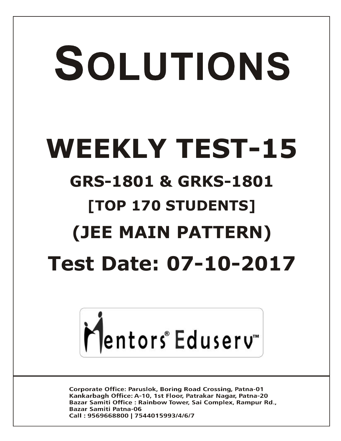# SOLUTIONS **WEEKLY TEST-15 GRS-1801 & GRKS-1801 [TOP 170 STUDENTS] (JEE MAIN PATTERN) Test Date: 07-10-2017**



**Corporate Office: Paruslok, Boring Road Crossing, Patna-01** Kankarbagh Office: A-10, 1st Floor, Patrakar Nagar, Patna-20 Bazar Samiti Office: Rainbow Tower, Sai Complex, Rampur Rd., **Bazar Samiti Patna-06** Call: 9569668800 | 7544015993/4/6/7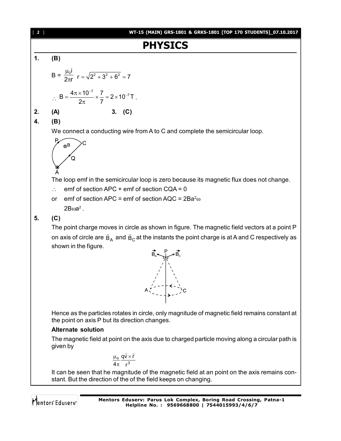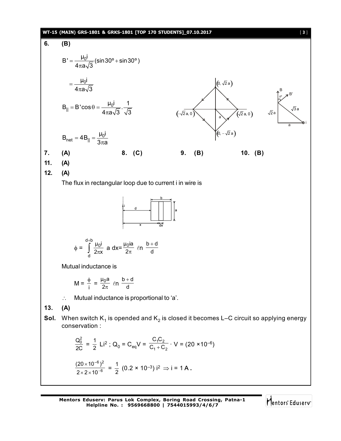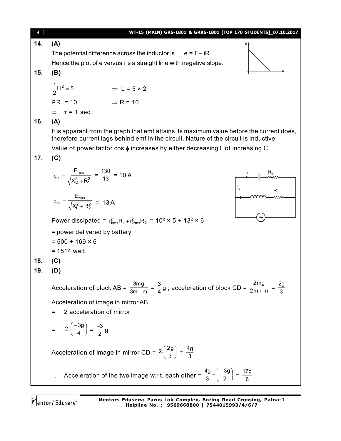| $[4]$ | WT-15 (MAIN) GRS-1801 & GRKS-1801 [TOP 170 STUDENTS]_07.10.2017                                                                                                                    |
|-------|------------------------------------------------------------------------------------------------------------------------------------------------------------------------------------|
| 14.   | (A)<br>$e_{4}$                                                                                                                                                                     |
|       | The potential difference across the inductor is $e = E - iR$ .                                                                                                                     |
|       | Hence the plot of e versus i is a straight line with negative slope.                                                                                                               |
| 15.   | (B)                                                                                                                                                                                |
|       | $\frac{1}{2}$ Li <sup>2</sup> = 5<br>$\Rightarrow$ L = 5 × 2                                                                                                                       |
|       | $i^2 R = 10$ $\Rightarrow R = 10$                                                                                                                                                  |
|       | $\Rightarrow \tau = 1$ sec.                                                                                                                                                        |
| 16.   | (A)                                                                                                                                                                                |
|       | It is apparant from the graph that emf attains its maximum value before the current does,<br>therefore current lags behind emf in the circuit. Nature of the circuit is inductive. |
|       | Value of power factor $\cos \phi$ increases by either decreasing L of increasing C.                                                                                                |
| 17.   | (C)                                                                                                                                                                                |
|       | $i_{1_{rms}} = \frac{E_{rms}}{\sqrt{X_0^2 + R_1^2}} = \frac{130}{13} = 10 \text{ A}$                                                                                               |
|       | $i_{2_{rms}} = \frac{E_{rms}}{\sqrt{X_1^2 + R_2^2}} = 13 A$                                                                                                                        |
|       | Power dissipated = $i_{rms}^2 R_1 + i_{2rms}^2 R_2$ = 10 <sup>2</sup> × 5 + 13 <sup>2</sup> × 6                                                                                    |
|       | = power delivered by battery                                                                                                                                                       |
|       | $= 500 + 169 \times 6$                                                                                                                                                             |
|       | $= 1514$ watt.                                                                                                                                                                     |
| 18.   | (C)                                                                                                                                                                                |
| 19.   | (D)                                                                                                                                                                                |
|       | Acceleration of block AB = $\frac{3mg}{3m+m} = \frac{3}{4}g$ ; acceleration of block CD = $\frac{2mg}{2m+m} = \frac{2g}{3}$                                                        |
|       | Acceleration of image in mirror AB                                                                                                                                                 |
|       | 2 acceleration of mirror<br>=                                                                                                                                                      |
|       | = $2.\left(\frac{-3g}{4}\right) = \frac{-3}{2}g$                                                                                                                                   |
|       | Acceleration of image in mirror CD = $2.\left(\frac{2g}{3}\right) = \frac{4g}{3}$                                                                                                  |
|       | Acceleration of the two image w.r.t. each other = $\frac{4g}{3} - \left(\frac{-3g}{2}\right) = \frac{17g}{6}$ .                                                                    |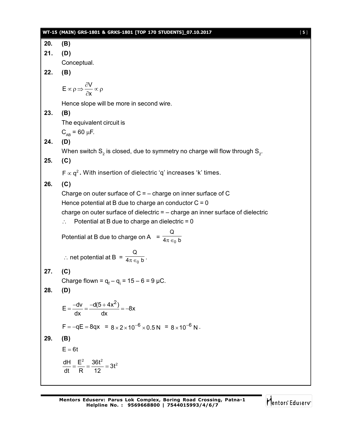|     | WT-15 (MAIN) GRS-1801 & GRKS-1801 [TOP 170 STUDENTS]_07.10.2017<br>$[5]$            |
|-----|-------------------------------------------------------------------------------------|
| 20. | (B)                                                                                 |
| 21. | (D)                                                                                 |
|     | Conceptual.                                                                         |
| 22. | (B)                                                                                 |
|     | $E \propto \rho \Rightarrow \frac{\partial V}{\partial x} \propto \rho$             |
|     | Hence slope will be more in second wire.                                            |
| 23. | (B)                                                                                 |
|     | The equivalent circuit is                                                           |
|     | $C_{AB}$ = 60 µF.                                                                   |
| 24. | (D)                                                                                 |
|     | When switch $S_2$ is closed, due to symmetry no charge will flow through $S_2$ .    |
| 25. | (C)                                                                                 |
|     | $F \propto q^2$ . With insertion of dielectric 'q' increases 'k' times.             |
| 26. | (C)                                                                                 |
|     | Charge on outer surface of $C = -$ charge on inner surface of C                     |
|     | Hence potential at B due to charge an conductor $C = 0$                             |
|     | charge on outer surface of dielectric $=$ $-$ charge an inner surface of dielectric |
|     | Potential at B due to charge an dielectric $= 0$                                    |
|     | Potential at B due to charge on A = $\frac{Q}{4\pi \epsilon_0 b}$                   |
|     |                                                                                     |
|     | ∴ net potential at B = $\frac{Q}{4\pi \epsilon_0 b}$ .                              |
| 27. | (C)                                                                                 |
|     | Charge flown = $q_f - q_i = 15 - 6 = 9 \mu C$ .                                     |
| 28. | (D)                                                                                 |
|     | $E = \frac{-dv}{dx} = \frac{-d(5 + 4x^2)}{dx} = -8x$                                |
|     | $F = -qE = 8qx = 8 \times 2 \times 10^{-6} \times 0.5 N = 8 \times 10^{-6} N$ .     |
| 29. | (B)                                                                                 |
|     | $E = 6t$                                                                            |
|     | $\frac{dH}{dt} = \frac{E^2}{R} = \frac{36t^2}{12} = 3t^2$                           |

**Mentors Eduserv: Parus Lok Complex, Boring Road Crossing, Patna-1 Helpline No. : 9569668800 | 7544015993/4/6/7**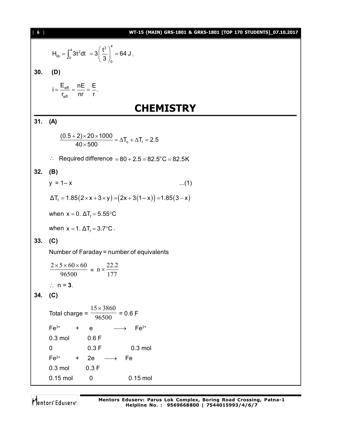| $[ 6 ]$ | WT-15 (MAIN) GRS-1801 & GRKS-1801 [TOP 170 STUDENTS]_07.10.2017                          |
|---------|------------------------------------------------------------------------------------------|
|         | $H_{\text{lib}} = \int_0^4 3t^2 dt = 3 \left(\frac{t^3}{3}\right)_0^4 = 64 J.$           |
| 30.     | (D)                                                                                      |
|         | $i = \frac{E_{\text{eff}}}{r_{\text{eff}}} = \frac{nE}{nr} = \frac{E}{r}.$               |
|         | <b>CHEMISTRY</b>                                                                         |
| 31.     | (A)                                                                                      |
|         | $\frac{(0.5+2)\times20\times1000}{40\times500} = \Delta T_{b} + \Delta T_{f} = 2.5$      |
|         | Required difference = $80 + 2.5 = 82.5^{\circ}$ C = 82.5K<br>$\mathcal{L}_{\mathcal{C}}$ |
| 32.     | (B)                                                                                      |
|         | $y = 1 - x$<br>$(1)$                                                                     |
|         | $\Delta T_f = 1.85(2 \times x + 3 \times y) = (2x + 3(1 - x)) = 1.85(3 - x)$             |
|         |                                                                                          |
|         | when $x = 0$ . $\Delta T_f = 5.55^{\circ}C$                                              |
|         | when $x = 1$ . $\Delta T_f = 3.7$ °C.                                                    |
| 33.     | (C)                                                                                      |
|         | Number of Faraday = number of equivalents                                                |
|         | $\frac{2 \times 5 \times 60 \times 60}{96500} = n \times \frac{22.2}{177}$               |
|         | $\therefore$ n = 3.                                                                      |
| 34. (C) |                                                                                          |
|         | $\frac{15 \times 3860}{1}$ = 0.6 F<br>Total charge = $\frac{1}{x}$<br>96500              |
|         | Fe <sup>3+</sup> + e $\longrightarrow$ Fe <sup>2+</sup>                                  |
|         | $0.3$ mol<br>0.6 F                                                                       |
|         | 0.3 F 0.3 mol<br>$\mathbf 0$                                                             |
|         | $Fe^{2+}$ + 2e $\longrightarrow$ Fe                                                      |
|         | $0.3$ mol<br>0.3 F<br>$\mathbf 0$<br>$0.15$ mol<br>$0.15$ mol                            |
|         |                                                                                          |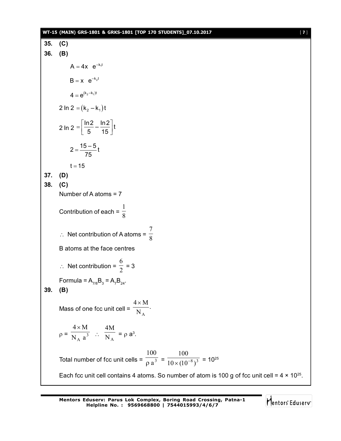#### **WT-15 (MAIN) GRS-1801 & GRKS-1801 [TOP 170 STUDENTS]\_07.10.2017** [ **7** ]

**35. (C) 36. (B)**  $A = 4x$   $e^{-k_1t}$  $B = x e^{-k_2 t}$  $4 = e^{(k_2 - k_1)t}$ 2 In 2 =  $(k_2 - k_1)t$ 2 ln 2 =  $\frac{\ln 2}{5} - \frac{\ln 2}{15} t$ 5 15  $=\left[\frac{\ln 2}{5}-\frac{\ln 2}{15}\right]t$  $2 = \frac{15 - 5}{75}t$ 75  $=$  $t = 15$ **37. (D) 38. (C)** Number of A atoms = 7 Contribution of each =  $\frac{1}{8}$ 1  $\therefore$  Net contribution of A atoms =  $\frac{1}{8}$ 7 B atoms at the face centres  $\therefore$  Net contribution =  $\frac{1}{2}$ 6 = 3 Formula =  $A_{7/8}B_3 = A_7B_{24}$ . **39. (B)** Mass of one fcc unit cell =  $\frac{1}{N_A}$ .  $4 \times M$ A  $\times$  $p = \overline{N_A a^3}$  $4 \times M$  $\therefore$   $\overline{N_A}$ 4M  $= \rho a^3$ . Total number of fcc unit cells =  $\frac{1}{\rho}a^3$ 100  $\overline{\rho}$  a<sup>3</sup> =  $\frac{1}{10 \times (10^{-8})^3}$ 100  $\sqrt{(10^{-8})^3}$  = 10<sup>25</sup> Each fcc unit cell contains 4 atoms. So number of atom is 100 g of fcc unit cell =  $4 \times 10^{25}$ .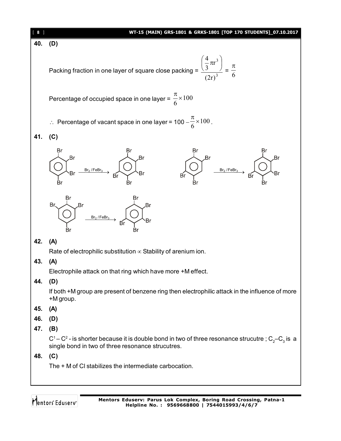#### [ **8** ] **WT-15 (MAIN) GRS-1801 & GRKS-1801 [TOP 170 STUDENTS]\_07.10.2017**



#### Packing fraction in one layer of square close packing =  $\frac{\sqrt{3}}{(2\pi)^3}$ 3 (2r) r 3 4  $\overline{\phantom{a}}$ J  $\left(\frac{4}{2}\pi r^3\right)$  $\setminus$  $\left(\frac{4}{2}\pi\right)$  $=\frac{1}{6}$  $\pi$

Percentage of occupied space in one layer =  $\frac{\pi}{6} \times 100$ 6  $\frac{\pi}{4}$ 

∴ Percentage of vacant space in one layer = 
$$
100 - \frac{\pi}{6} \times 100
$$
.

**41. (C)**







# **42. (A)**

Rate of electrophilic substitution  $\infty$  Stability of arenium ion.

#### **43. (A)**

Electrophile attack on that ring which have more +M effect.

# **44. (D)**

If both +M group are present of benzene ring then electrophilic attack in the influence of more +M group.

# **45. (A)**

- **46. (D)**
- **47. (B)**

C1–C<sup>2</sup> - is shorter because it is double bond in two of three resonance strucutre ; C<sub>2</sub>–C<sub>3</sub> is a single bond in two of three resonance strucutres.

# **48. (C)**

The + M of Cl stabilizes the intermediate carbocation.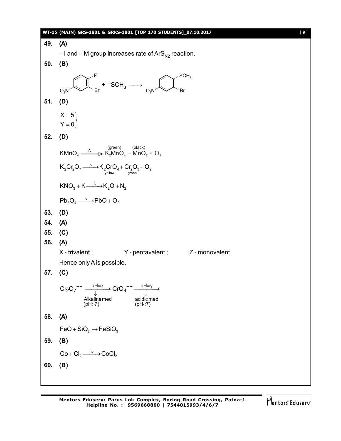|     | WT-15 (MAIN) GRS-1801 & GRKS-1801 [TOP 170 STUDENTS]_07.10.2017<br>$[9]$                                                                                          |
|-----|-------------------------------------------------------------------------------------------------------------------------------------------------------------------|
| 49. | (A)                                                                                                                                                               |
|     | $-1$ and $-$ M group increases rate of ArS <sub>N2</sub> reaction.                                                                                                |
| 50. | (B)                                                                                                                                                               |
|     | SCH <sub>3</sub><br>$\mathbb{R}^{\mathsf{F}}$ + -SCH <sub>3</sub> $\longrightarrow$ <sub>O<sub>2</sub>N<sup>-</sup></sub><br>O <sub>2</sub> N                     |
| 51. | (D)                                                                                                                                                               |
|     | $X = 5$<br>$Y = 0$                                                                                                                                                |
| 52. | (D)                                                                                                                                                               |
|     | (green) (black)<br>$K MnO_4 \xrightarrow{\Delta} K_2 MnO_4 + MnO_2 + O_2$                                                                                         |
|     | $K_2Cr_2O_7 \xrightarrow{\Delta} K_2CrO_4 + Cr_2O_3 + O_2$<br>$\underset{\text{green}}{F}$                                                                        |
|     | $KNO3 + K \longrightarrow K2O + N2$                                                                                                                               |
|     | $Pb_3O_4 \xrightarrow{\Delta} PbO + O_2$                                                                                                                          |
| 53. | (D)                                                                                                                                                               |
| 54. | (A)                                                                                                                                                               |
| 55. | (C)                                                                                                                                                               |
| 56. | (A)                                                                                                                                                               |
|     | X - trivalent;<br>$Y$ -pentavalent; $Z$ -monovalent<br>Hence only A is possible.                                                                                  |
| 57. | (C)                                                                                                                                                               |
|     | $\frac{pH=x}{\frac{1}{x}}$ CrO <sub>4</sub> <sup>--</sup> $\frac{pH=y}{\frac{1}{x}}$<br>$\mathrm{Cr_2O_7}^{- -}$<br>Alkalinemed<br>acidic med<br>(pH>7)<br>(pH<7) |
| 58. | (A)                                                                                                                                                               |
|     | $FeO + SiO2 \rightarrow FeSiO3$                                                                                                                                   |
| 59. | (B)                                                                                                                                                               |
|     | $Co + Cl_2 \xrightarrow{hv} CoCl_2$                                                                                                                               |
| 60. | (B)                                                                                                                                                               |
|     |                                                                                                                                                                   |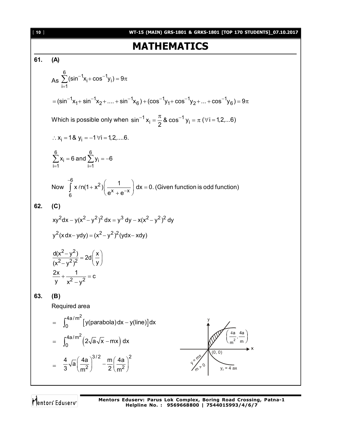160  
\nW745 (60.10) 805-8501 & 805-8501 & 805-8501 & 100P 170 5TUDENTSI  
\n61. (A)  
\n
$$
As \sum_{i=1}^{6} (sin^{-1}x_{i}+cos^{-1}y_{i}) = 9\pi
$$
\n
$$
= (sin^{-1}x_{i}+sin^{-1}x_{2}+....+sin^{-1}x_{6}) + (cos^{-1}y_{1}+cos^{-1}y_{2}+...+cos^{-1}y_{6}) = 9\pi
$$
\nWhich is possible only when  $sin^{-1}x_{i} = \frac{\pi}{2}8cos^{-1}y_{i} = \pi (v_{i}=12....6)$   
\n
$$
\therefore x_{i} = 18 y_{i} = -10i = 12....6.
$$
\n
$$
\sum_{i=1}^{6} x_{i} = 6 \text{ and } \sum_{i=1}^{6} y_{i} = -6
$$
\nNow  $\int_{6}^{9} x \sin(1+x^{2}) \left(\frac{1}{e^{x}+e^{-x}}\right) dx = 0$ . (Given function is odd function)  
\n82. (C)  
\n
$$
xy^{2}dx - y(x^{2} - y^{2})^{2} dx = y^{3} dy - x(x^{2} - y^{2})^{2} dy
$$
\n
$$
y^{2} (x dx - y dy) = (x^{2} - y^{2})^{2} (y dx - x dy)
$$
\n
$$
\frac{d(x^{2} - y^{2})}{(x^{2} - y^{2})^{2}} = 2d \left(\frac{x}{y}\right)
$$
\n
$$
\frac{2x}{(x^{2} - y^{2})^{2}} = 2d \left(\frac{x}{y}\right)
$$
\nRequired area  
\n
$$
= \int_{0}^{4a/m^{2}} [y(parabola) dx - y(line)] dx
$$
\n
$$
= \int_{0}^{4a/m^{2}} [2\sqrt{a}\sqrt{x} - mx] dx
$$
\n
$$
= \int_{0}^{4a/m^{2}} \left(\frac{4a}{m^{2}}\right)^{3/2} - \frac{m}{2} \left(\frac{4a}{m^{2}}\right)^{2}
$$
\n
$$
= \frac{4}{3} \sqrt{a} \left(\frac{4a}{m^{2}}\right)^{3/2} - \frac{
$$

**Mentors Eduserv: Parus Lok Complex, Boring Road Crossing, Patna-1 Helpline No. : 9569668800 | 7544015993/4/6/7**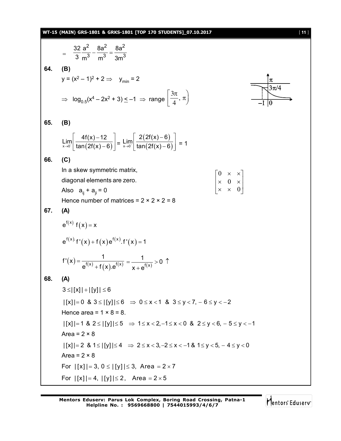#### **WT-15 (MAIN) GRS-1801 & GRKS-1801 [TOP 170 STUDENTS]\_07.10.2017** [ **11** ]

$$
= \frac{32}{3} \frac{a^2}{m^3} - \frac{8a^2}{m^3} = \frac{8a^2}{3m^3}
$$
  
\n64. **(B)**  
\n
$$
y = (x^2 - 1)^2 + 2 \Rightarrow y_{min} = 2
$$
  
\n
$$
\Rightarrow \log_{0.5}(x^4 - 2x^2 + 3) \le -1 \Rightarrow \text{ range } \left[ \frac{3\pi}{4}, \pi \right)
$$
  
\n65. **(B)**  
\n
$$
\lim_{x \to 0} \left[ \frac{4f(x) - 12}{\tan(2f(x) - 6)} \right] = \lim_{x \to 0} \left[ \frac{2(2f(x) - 6)}{\tan(2f(x) - 6)} \right] = 1
$$
  
\n66. **(C)**  
\nIn a skew symmetric matrix,  
\ndiagonal elements are zero.  
\nAlso  $a_{ij} + a_{ji} = 0$   
\nHence number of matrices = 2 × 2 × 2 = 8  
\n67. **(A)**  
\n
$$
e^{f(x)} f(x) = x
$$
  
\n
$$
e^{f(x)} f'(x) + f(x) e^{f(x)} f'(x) = 1
$$
  
\n
$$
f'(x) = \frac{1}{e^{f(x)} + f(x) e^{f(x)}} = \frac{1}{x + e^{f(x)}} > 0
$$
  
\n68. **(A)**  
\n
$$
3 \le |[x]| + |[y]| \le 6
$$
  
\n
$$
|x| = 0
$$
 & 3 ≤ |[y]| ≤ 6 ⇒ 0 ≤ x < 1 & 3 ≤ y < 7, -6 ≤ y < -2  
\nHence area = 1 × 8 = 8.  
\n
$$
|[x]| = 1
$$
 & 4 ≤ |[y]| ≤ 6 ⇒ 1 ≤ x < 2, -1 ≤ x < 0 & 2 ≤ y < 6, -5 ≤ y < -1  
\nArea = 2 × 8  
\n
$$
|[x]| = 2
$$
 & 1 ≤ |[y]| ≤ 4 ⇒ 2 ≤ x < 3, -2 ≤ x < -1 & 1 ≤ y < 5, -4 ≤ y < 0  
\nArea = 2 × 8  
\nFor |[x]| = 3, 0 ≤ |[y]| ≤ 4 ⇒ 2 ≤ x < 3, -2 ≤ x < -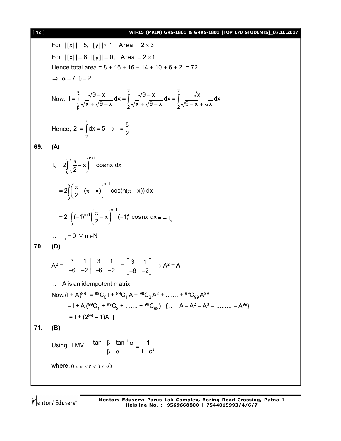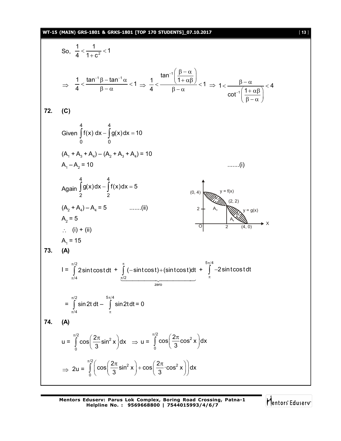#### **WT-15 (MAIN) GRS-1801 & GRKS-1801 [TOP 170 STUDENTS]\_07.10.2017** [ **13** ]

So, 
$$
\frac{1}{4} < \frac{1}{1 + c^2} < 1
$$
  
\n $\Rightarrow \frac{1}{4} < \frac{\tan^{-1} \beta - \tan^{-1} \alpha}{\beta - \alpha} < 1 \Rightarrow \frac{1}{4} < \frac{\tan^{-1} \left(\frac{\beta - \alpha}{1 + \alpha \beta}\right)}{\beta - \alpha} < 1 \Rightarrow 1 < \frac{\beta - \alpha}{\cot^{-1} \left(\frac{1 + \alpha \beta}{1 - \alpha}\right)} < 4$   
\n72. (C)  
\nGiven  $\int_{0}^{4} f(x) dx - \int_{0}^{4} g(x) dx = 10$   
\n(A, + A<sub>3</sub> + A<sub>4</sub>) - (A<sub>2</sub> + A<sub>3</sub> + A<sub>4</sub>) = 10  
\n(A<sub>1</sub> + A<sub>3</sub> + A<sub>4</sub>) - (A<sub>2</sub> + A<sub>3</sub> + A<sub>4</sub>) = 10  
\nAgain  $\int_{2}^{4} g(x) dx - \int_{2}^{4} f(x) dx = 5$   
\n(A<sub>2</sub> + A<sub>3</sub>) - A<sub>4</sub> = 5  
\n(A<sub>2</sub> + A<sub>3</sub>) - A<sub>4</sub> = 5  
\n $\therefore$  (i) + (ii)  
\nA<sub>3</sub> = 5  
\n $\therefore$  (i) + (ii)  
\nA<sub>4</sub> = 15  
\n73. (A)  
\nI =  $\int_{x/4}^{x/2} 2 \sin t \cos t dt + \int_{x/2}^{6} (-\sin t \cos t) + (\sin t \cos t) dt + \int_{x}^{5} -2 \sin t \cos t dt$   
\n $= \int_{x/4}^{x/2} \sin 2t dt - \int_{x/4}^{5x/4} \sin 2t dt = 0$   
\n74. (A)  
\n $u = \int_{0}^{\pi/2} \cos \left(\frac{2\pi}{3} \sin^2 x\right) dx \Rightarrow u = \int_{0}^{\pi/2} \cos \left(\frac{2\pi}{3} \cos^2 x\right) dx$   
\n $\Rightarrow 2u = \int_{0}^{\pi/2} \left( \cos \left(\frac{2\pi}{3} \sin^2 x\right) + \cos \left$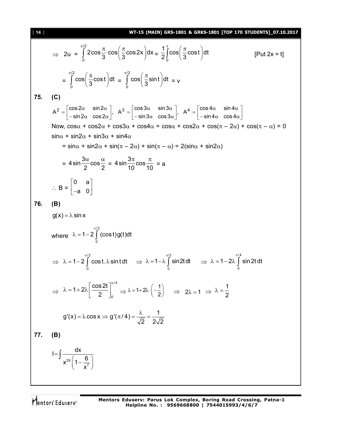11 **W1-15 (MAIN) of a5-16n a first-1601 (10P 170 STUDANSJ 07.102.0017  
\n⇒ 2u = 
$$
\int_{0}^{\pi/2} 2\cos{\frac{\pi}{3}} \cdot \cos{\left(\frac{\pi}{3}\cos 2x\right)} dx = \frac{1}{2} \int_{0}^{1} \cos{\left(\frac{\pi}{3}\cos t\right)} dt
$$
 [Put 2x = t]  
\n
$$
= \int_{0}^{\pi/2} \cos{\left(\frac{\pi}{3}\cos t\right)} dt = \int_{0}^{\pi/2} \cos{\left(\frac{\pi}{3}\sin t\right)} dt = v
$$
\n13.6 (C)  
\n
$$
A^{2} = \begin{bmatrix} \cos 2\alpha & \sin 2\alpha \\ -\sin 2\alpha & \cos 2\alpha \end{bmatrix}, A^{3} = \begin{bmatrix} \cos 3\alpha & \sin 3\alpha \\ -\sin 3\alpha & \cos 3\alpha \end{bmatrix}, A^{4} = \begin{bmatrix} \cos 4\alpha & \sin 4\alpha \\ -\sin 4\alpha & \cos 4\alpha \end{bmatrix}
$$
\nNow,  $\cos 4\alpha + \cos 4\alpha = \cos \alpha + \cos 2\alpha + \cos(\pi - 2\alpha) + \cos(\pi - \alpha) = 0$   
\n $\sin \alpha + \sin 2\alpha + \sin 3\alpha + \sin 4\alpha$   
\n $= \sin \alpha + \sin 2\alpha + \sin(\pi - 2\alpha) + \sin(\pi - \alpha) = 2(\sin \alpha + \sin 2\alpha)$   
\n $= 4 \sin \frac{3\alpha}{2} \cos \frac{\alpha}{2} = 4 \sin \frac{3\pi}{10} \cos \frac{\pi}{10} = a$   
\n $\therefore B = \begin{bmatrix} 0 & a \\ -a & 0 \end{bmatrix}$   
\n16. (B)  
\n $g(x) = \lambda \sin x$   
\nwhere  $\lambda = 1 - 2 \int_{0}^{\pi/2} \cos 13\theta(1) dt$   
\n $\Rightarrow \lambda = 1 - 2 \int_{0}^{\pi/2} \cos 13\theta(1) dt$   
\n $\Rightarrow \lambda = 1 - 2 \int_{0}^{\pi/2} \cos 2t \Big|_{0}^{\pi/4} = \lambda = 1$**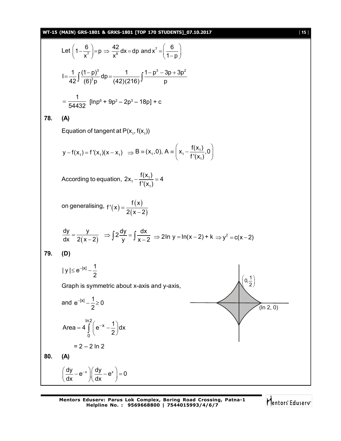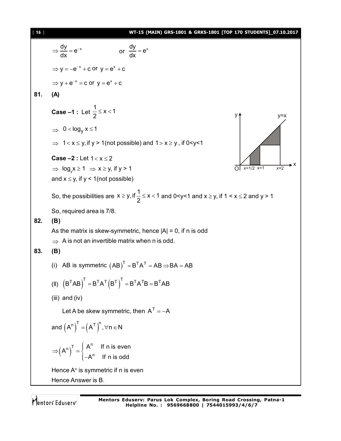| [16] | WT-15 (MAIN) GRS-1801 & GRKS-1801 [TOP 170 STUDENTS] 07.10.2017                                                                                        |
|------|--------------------------------------------------------------------------------------------------------------------------------------------------------|
|      | $\Rightarrow \frac{dy}{dx} = e^{-x}$<br>or $\frac{dy}{dx} = e^x$                                                                                       |
|      | $\Rightarrow$ y = -e <sup>-x</sup> + c or y = e <sup>x</sup> + c                                                                                       |
|      | $\Rightarrow$ y + e <sup>-x</sup> = c or y = e <sup>x</sup> + c                                                                                        |
| 81.  | (A)                                                                                                                                                    |
|      | <b>Case -1</b> : Let $\frac{1}{2} \le x < 1$<br>y4<br>$y=x$                                                                                            |
|      | $\Rightarrow$ 0 < log <sub>y</sub> x $\leq$ 1                                                                                                          |
|      | $\Rightarrow$ 1< x $\le$ y, if y > 1(not possible) and 1 > x $\ge$ y, if 0 < y < 1                                                                     |
|      | <b>Case -2 : Let <math>1 &lt; x \le 2</math></b>                                                                                                       |
|      | $\Rightarrow$ log <sub>y</sub> $x \ge 1$ $\Rightarrow$ $x \ge y$ , if y > 1<br>$x=1/2$ $x=1$<br>$x=2$                                                  |
|      | and $x \leq y$ , if $y < 1$ (not possible)                                                                                                             |
|      | So, the possibilities are $x \ge y$ , if $\frac{1}{2} \le x < 1$ and 0 <y<1 <math="" and="">x \ge y, if 1 &lt; x <math>\le</math> 2 and y &gt; 1</y<1> |
|      | So, required area is 7/8.                                                                                                                              |
| 82.  | (B)                                                                                                                                                    |
|      | As the matrix is skew-symmetric, hence $ A  = 0$ , if n is odd<br>$\Rightarrow$ A is not an invertible matrix when n is odd.                           |
| 83.  | (B)                                                                                                                                                    |
|      | (i) AB is symmetric $(AB)^{T} = B^{T}A^{T} = AB \Rightarrow BA = AB$                                                                                   |
|      | (II) $(B^TAB)^T = B^TA^T(B^T)^T = B^TA^TB = B^TAB$                                                                                                     |
|      | $(iii)$ and $(iv)$                                                                                                                                     |
|      | Let A be skew symmetric, then $A^T = -A$                                                                                                               |
|      | and $(A^n)^{n} = (A^T)^{n}$ , $\forall n \in N$                                                                                                        |
|      | $\Rightarrow (A^n)^T = \begin{cases} A^n & \text{if } n \text{ is even} \\ -A^n & \text{if } n \text{ is odd} \end{cases}$                             |
|      | Hence A <sup>n</sup> is symmetric if n is even                                                                                                         |
|      | Hence Answer is B.                                                                                                                                     |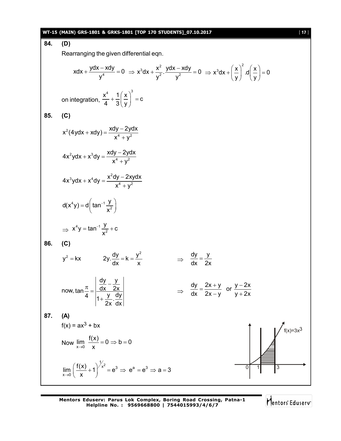#### **WT-15 (MAIN) GRS-1801 & GRKS-1801 [TOP 170 STUDENTS]\_07.10.2017** [ **17** ]

**84. (D)**

Rearranging the given differential eqn.

$$
xdx + \frac{ydx - xdy}{y^{4}} = 0 \Rightarrow x^{3}dx + \frac{x^{2}}{y^{2}} \cdot \frac{ydx - xdy}{y^{2}} = 0 \Rightarrow x^{3}dx + \left(\frac{x}{y}\right)^{2} \cdot d\left(\frac{x}{y}\right) = 0
$$
  
\non integration,  $\frac{x^{4}}{4} + \frac{1}{3}\left(\frac{x}{y}\right)^{3} = c$   
\n85. (C)  
\n
$$
x^{2}(4ydx + xdy) = \frac{xdy - 2ydx}{x^{4} + y^{2}}
$$
  
\n
$$
4x^{2}ydx + x^{3}dy = \frac{x^{2}dy - 2ydx}{x^{4} + y^{2}}
$$
  
\n
$$
4x^{3}ydx + x^{4}dy = \frac{x^{2}dy - 2xydx}{x^{4} + y^{2}}
$$
  
\n
$$
d(x^{4}y) = d\left(\tan^{-1}\frac{y}{x^{2}}\right)
$$
  
\n
$$
\Rightarrow x^{4}y = \tan^{-1}\frac{y}{x^{2}} + c
$$
  
\n86. (C)  
\n
$$
y^{2} = kx \qquad 2y \cdot \frac{dy}{dx} = k = \frac{y^{2}}{x} \qquad \Rightarrow \frac{dy}{dx} = \frac{y}{2x}
$$
  
\n
$$
d(x^{4}y) = d\left(\frac{dy}{dx} - \frac{y}{2x}\right)
$$
  
\n
$$
d(x^{4}y) = \frac{dy}{dx} = \frac{2x + y}{2x} \qquad \Rightarrow \frac{dy}{dx} = \frac{2x + y}{2x} \qquad \Rightarrow \frac{y - 2x}{y + 2x}
$$
  
\n87. (A)  
\n
$$
f(x) = ax^{3} + bx
$$
  
\nNow  $\lim_{x \to 0} \frac{f(x)}{x} = 0 \Rightarrow b = 0$   
\n
$$
\lim_{x \to 0} \frac{f(x)}{x} = 0 \Rightarrow b = 0
$$
  
\n
$$
\lim_{x \to 0} \left(\frac{f(x)}{x} + 1\right)^{1/x^{2}} = e^{3} \Rightarrow e^{a} = e^{3} \Rightarrow a = 3
$$